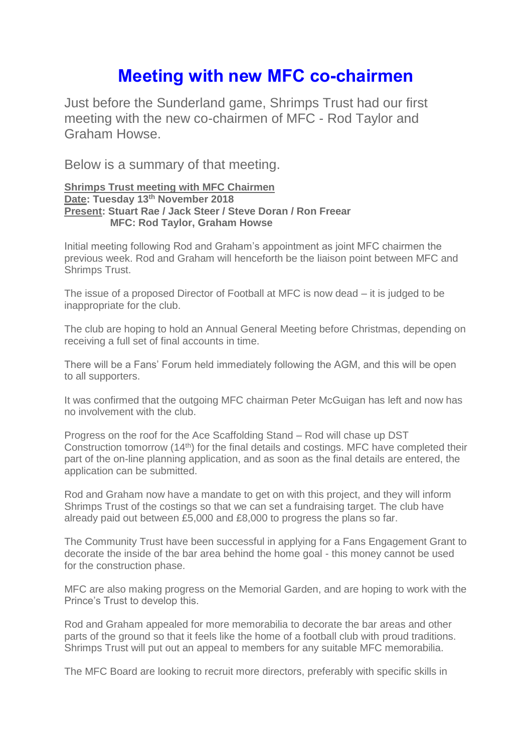## **Meeting with new MFC co-chairmen**

Just before the Sunderland game, Shrimps Trust had our first meeting with the new co-chairmen of MFC - Rod Taylor and Graham Howse.

Below is a summary of that meeting.

## **Shrimps Trust meeting with MFC Chairmen Date: Tuesday 13th November 2018 Present: Stuart Rae / Jack Steer / Steve Doran / Ron Freear MFC: Rod Taylor, Graham Howse**

Initial meeting following Rod and Graham's appointment as joint MFC chairmen the previous week. Rod and Graham will henceforth be the liaison point between MFC and Shrimps Trust.

The issue of a proposed Director of Football at MFC is now dead – it is judged to be inappropriate for the club.

The club are hoping to hold an Annual General Meeting before Christmas, depending on receiving a full set of final accounts in time.

There will be a Fans' Forum held immediately following the AGM, and this will be open to all supporters.

It was confirmed that the outgoing MFC chairman Peter McGuigan has left and now has no involvement with the club.

Progress on the roof for the Ace Scaffolding Stand – Rod will chase up DST Construction tomorrow (14th) for the final details and costings. MFC have completed their part of the on-line planning application, and as soon as the final details are entered, the application can be submitted.

Rod and Graham now have a mandate to get on with this project, and they will inform Shrimps Trust of the costings so that we can set a fundraising target. The club have already paid out between £5,000 and £8,000 to progress the plans so far.

The Community Trust have been successful in applying for a Fans Engagement Grant to decorate the inside of the bar area behind the home goal - this money cannot be used for the construction phase.

MFC are also making progress on the Memorial Garden, and are hoping to work with the Prince's Trust to develop this.

Rod and Graham appealed for more memorabilia to decorate the bar areas and other parts of the ground so that it feels like the home of a football club with proud traditions. Shrimps Trust will put out an appeal to members for any suitable MFC memorabilia.

The MFC Board are looking to recruit more directors, preferably with specific skills in